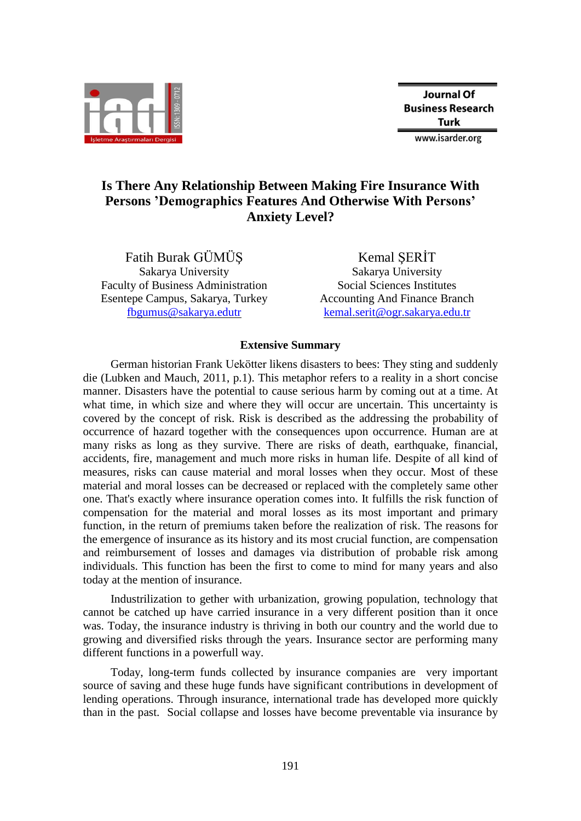

## **Is There Any Relationship Between Making Fire Insurance With Persons 'Demographics Features And Otherwise With Persons' Anxiety Level?**

Fatih Burak GÜMÜŞ Sakarya University Faculty of Business Administration Esentepe Campus, Sakarya, Turkey [fbgumus@sakarya.edutr](mailto:fbgumus@sakarya.edutr)

Kemal ŞERİT Sakarya University Social Sciences Institutes Accounting And Finance Branch [kemal.serit@ogr.sakarya.edu.tr](mailto:kemal.serit@ogr.sakarya.edu.tr)

## **Extensive Summary**

German historian Frank Uekötter likens disasters to bees: They sting and suddenly die (Lubken and Mauch, 2011, p.1). This metaphor refers to a reality in a short concise manner. Disasters have the potential to cause serious harm by coming out at a time. At what time, in which size and where they will occur are uncertain. This uncertainty is covered by the concept of risk. Risk is described as the addressing the probability of occurrence of hazard together with the consequences upon occurrence. Human are at many risks as long as they survive. There are risks of death, earthquake, financial, accidents, fire, management and much more risks in human life. Despite of all kind of measures, risks can cause material and moral losses when they occur. Most of these material and moral losses can be decreased or replaced with the completely same other one. That's exactly where insurance operation comes into. It fulfills the risk function of compensation for the material and moral losses as its most important and primary function, in the return of premiums taken before the realization of risk. The reasons for the emergence of insurance as its history and its most crucial function, are compensation and reimbursement of losses and damages via distribution of probable risk among individuals. This function has been the first to come to mind for many years and also today at the mention of insurance.

Industrilization to gether with urbanization, growing population, technology that cannot be catched up have carried insurance in a very different position than it once was. Today, the insurance industry is thriving in both our country and the world due to growing and diversified risks through the years. Insurance sector are performing many different functions in a powerfull way.

Today, long-term funds collected by insurance companies are very important source of saving and these huge funds have significant contributions in development of lending operations. Through insurance, international trade has developed more quickly than in the past. Social collapse and losses have become preventable via insurance by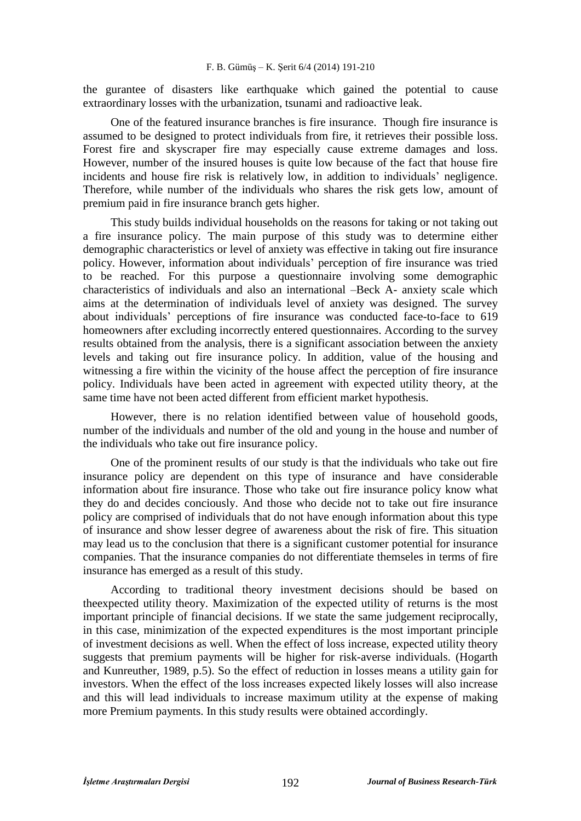the gurantee of disasters like earthquake which gained the potential to cause extraordinary losses with the urbanization, tsunami and radioactive leak.

One of the featured insurance branches is fire insurance. Though fire insurance is assumed to be designed to protect individuals from fire, it retrieves their possible loss. Forest fire and skyscraper fire may especially cause extreme damages and loss. However, number of the insured houses is quite low because of the fact that house fire incidents and house fire risk is relatively low, in addition to individuals' negligence. Therefore, while number of the individuals who shares the risk gets low, amount of premium paid in fire insurance branch gets higher.

This study builds individual households on the reasons for taking or not taking out a fire insurance policy. The main purpose of this study was to determine either demographic characteristics or level of anxiety was effective in taking out fire insurance policy. However, information about individuals' perception of fire insurance was tried to be reached. For this purpose a questionnaire involving some demographic characteristics of individuals and also an international –Beck A- anxiety scale which aims at the determination of individuals level of anxiety was designed. The survey about individuals' perceptions of fire insurance was conducted face-to-face to 619 homeowners after excluding incorrectly entered questionnaires. According to the survey results obtained from the analysis, there is a significant association between the anxiety levels and taking out fire insurance policy. In addition, value of the housing and witnessing a fire within the vicinity of the house affect the perception of fire insurance policy. Individuals have been acted in agreement with expected utility theory, at the same time have not been acted different from efficient market hypothesis.

However, there is no relation identified between value of household goods, number of the individuals and number of the old and young in the house and number of the individuals who take out fire insurance policy.

One of the prominent results of our study is that the individuals who take out fire insurance policy are dependent on this type of insurance and have considerable information about fire insurance. Those who take out fire insurance policy know what they do and decides conciously. And those who decide not to take out fire insurance policy are comprised of individuals that do not have enough information about this type of insurance and show lesser degree of awareness about the risk of fire. This situation may lead us to the conclusion that there is a significant customer potential for insurance companies. That the insurance companies do not differentiate themseles in terms of fire insurance has emerged as a result of this study.

According to traditional theory investment decisions should be based on theexpected utility theory. Maximization of the expected utility of returns is the most important principle of financial decisions. If we state the same judgement reciprocally, in this case, minimization of the expected expenditures is the most important principle of investment decisions as well. When the effect of loss increase, expected utility theory suggests that premium payments will be higher for risk-averse individuals. (Hogarth and Kunreuther, 1989, p.5). So the effect of reduction in losses means a utility gain for investors. When the effect of the loss increases expected likely losses will also increase and this will lead individuals to increase maximum utility at the expense of making more Premium payments. In this study results were obtained accordingly.